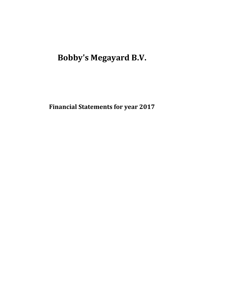**Bobby's Megayard B.V.**

**Financial Statements for year 2017**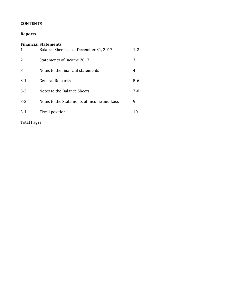## **CONTENTS**

## **Reports**

| 1       | <b>Financial Statements</b><br>Balance Sheets as of December 31, 2017 | 1-2 |
|---------|-----------------------------------------------------------------------|-----|
| 2       | Statements of Income 2017                                             | 3   |
| 3       | Notes to the financial statements                                     | 4   |
| $3-1$   | General Remarks                                                       | 5-6 |
| $3 - 2$ | Notes to the Balance Sheets                                           | 7-8 |
| $3-3$   | Notes to the Statements of Income and Loss                            | 9   |
| 3-4     | Fiscal position                                                       |     |
|         |                                                                       |     |

Total Pages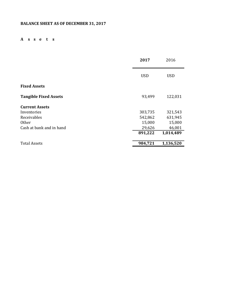## **BALANCE SHEET AS OF DECEMBER 31, 2017**

## **A s s e t s**

|                              | 2017       | 2016       |
|------------------------------|------------|------------|
|                              | <b>USD</b> | <b>USD</b> |
| <b>Fixed Assets</b>          |            |            |
| <b>Tangible Fixed Assets</b> | 93,499     | 122,031    |
| <b>Current Assets</b>        |            |            |
| Inventories                  | 303,735    | 321,543    |
| Receivables                  | 542,862    | 631,945    |
| <b>Other</b>                 | 15,000     | 15,000     |
| Cash at bank and in hand     | 29,626     | 46,001     |
|                              | 891,222    | 1,014,489  |
| <b>Total Assets</b>          | 984,721    | 1,136,520  |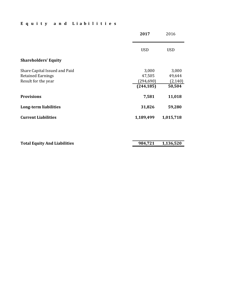## **E q u i t y a n d L i a b i l i t i e s**

|                                                                                  | 2017                                        | 2016                                  |
|----------------------------------------------------------------------------------|---------------------------------------------|---------------------------------------|
|                                                                                  | <b>USD</b>                                  | <b>USD</b>                            |
| <b>Shareholders' Equity</b>                                                      |                                             |                                       |
| Share Capital Issued and Paid<br><b>Retained Earnings</b><br>Result for the year | 3,000<br>47,505<br>(294, 690)<br>(244, 185) | 3,000<br>49,644<br>(2, 140)<br>50,504 |
| <b>Provisions</b>                                                                | 7,581                                       | 11,018                                |
| Long-term liabilities                                                            | 31,826                                      | 59,280                                |
| <b>Current Liabilities</b>                                                       | 1,189,499                                   | 1,015,718                             |
|                                                                                  |                                             |                                       |

| <b>Total Equity And Liabilities</b> | 984,721 1,136,520 |
|-------------------------------------|-------------------|
|                                     |                   |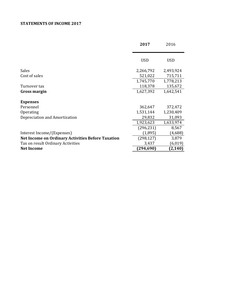## **STATEMENTS OF INCOME 2017**

|                                                          | 2017       | 2016       |
|----------------------------------------------------------|------------|------------|
|                                                          |            |            |
|                                                          | <b>USD</b> | <b>USD</b> |
| Sales                                                    | 2,266,792  | 2,493,924  |
| Cost of sales                                            | 521,022    | 715,711    |
|                                                          | 1,745,770  | 1,778,213  |
| Turnover tax                                             | 118,378    | 135,672    |
| Gross margin                                             | 1,627,392  | 1,642,541  |
| <b>Expenses</b>                                          |            |            |
| Personnel                                                | 362,647    | 372,472    |
| Operating                                                | 1,531,144  | 1,230,409  |
| Depreciation and Amortization                            | 29,832     | 31,093     |
|                                                          | 1,923,623  | 1,633,974  |
|                                                          | (296, 231) | 8,567      |
| Interest Income/(Expenses)                               | (1,895)    | (4,688)    |
| <b>Net Income on Ordinary Activities Before Taxation</b> | (298, 127) | 3,879      |
| Tax on result Ordinary Activities                        | 3,437      | (6, 019)   |
| <b>Net Income</b>                                        | (294, 690) | (2, 140)   |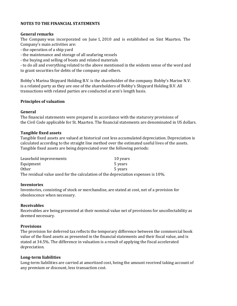## **NOTES TO THE FINANCIAL STATEMENTS**

## **General remarks**

The Company was incorporated on June 1, 2010 and is established on Sint Maarten. The Company's main activities are:

- the operation of a ship yard

- the maintenance and storage of all seafaring vessels

- the buying and selling of boats and related materials

- to do all and everything related to the above mentioned in the widests sense of the word and to grant securities for debts of the company and others.

Bobby's Marina Shipyard Holding B.V. is the shareholder of the company. Bobby's Marine N.V. is a related party as they are one of the shareholders of Bobby's Shipyard Holding B.V. All transactions with related parties are conducted at arm's length basis.

## **Principles of valuation**

## **General**

The financial statements were prepared in accordance with the staturory provisions of the Civil Code applicable for St. Maarten. The financial statements are denominated in US dollars.

## **Tangible fixed assets**

Tangible fixed assets are valued at historical cost less accumulated depreciation. Depreciation is calculated according to the straight line method over the estimated useful lives of the assets. Tangible fixed assets are being depreciated over the following periods:

| Leasehold improvements | 10 years                                                                         |
|------------------------|----------------------------------------------------------------------------------|
| Equipment              | 5 years                                                                          |
| <b>Other</b>           | 5 years                                                                          |
|                        | The residual value used for the calculation of the depreciation expenses is 10%. |

## **Inventories**

Inventories, consisting of stock or merchandise, are stated at cost, net of a provision for obsolescence when necessary.

## **Receivables**

Receivables are being presented at their nominal value net of provisions for uncollectability as deemed necessary.

## **Provisions**

The provision for deferred tax reflects the temporary difference between the commercial book value of the fixed assets as presented in the financial statements and their fiscal value, and is stated at 34.5%. The difference in valuation is a result of applying the fiscal accelerated depreciation.

## **Long-term liabilities**

Long-term liabilities are carried at amortized cost, being the amount received taking account of any premium or discount, less transaction cost.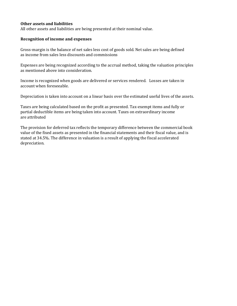## **Other assets and liabilities**

All other assets and liabilities are being presented at their nominal value.

## **Recognition of income and expenses**

Gross-margin is the balance of net sales less cost of goods sold. Net sales are being defined as income from sales less discounts and commissions

Expenses are being recognized according to the accrual method, taking the valuation principles as mentioned above into consideration.

Income is recognized when goods are delivered or services rendered. Losses are taken in account when foreseeable.

Depreciation is taken into account on a linear basis over the estimated useful lives of the assets.

Taxes are being calculated based on the profit as presented. Tax-exempt items and fully or partial deductible items are being taken into account. Taxes on extraordinary income are attributed

The provision for deferred tax reflects the temporary difference between the commercial book value of the fixed assets as presented in the financial statements and their fiscal value, and is stated at 34.5%. The difference in valuation is a result of applying the fiscal accelerated depreciation.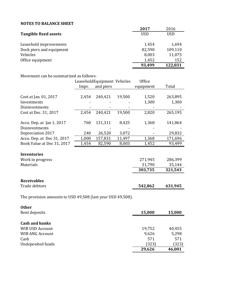## **NOTES TO BALANCE SHEET**

|                          | 2017       | 2016    |
|--------------------------|------------|---------|
| Tangible fixed assets    | <b>USD</b> | USD     |
|                          |            |         |
| Leasehold improvements   | 1,454      | 1,694   |
| Dock piers and equipment | 82,590     | 109,110 |
| Vehicles                 | 8,003      | 11,075  |
| Office equipment         | 1,452      | 152     |
|                          | 93,499     | 122,031 |

## Movement can be summarized as follows:

|                            |       | Leasehold Equipment Vehicles |        | Office    |         |
|----------------------------|-------|------------------------------|--------|-----------|---------|
|                            | Impr. | and piers                    |        | equipment | Total   |
|                            |       |                              |        |           |         |
| Cost at Jan. 01, 2017      | 2,454 | 240,421                      | 19,500 | 1,520     | 263,895 |
| Investments                |       |                              |        | 1,300     | 1,300   |
| Disinvestments             |       |                              |        |           |         |
| Cost at Dec. 31, 2017      | 2,454 | 240,421                      | 19,500 | 2,820     | 265,195 |
| Accu. Dep. at Jan 1, 2017  | 760   | 131,311                      | 8,425  | 1,368     | 141,864 |
| Disinvestments             |       |                              |        |           |         |
| Depreciation 2017          | 240   | 26,520                       | 3,072  |           | 29,832  |
| Accu. Dep. at Dec 31, 2017 | 1,000 | 157,831                      | 11,497 | 1,368     | 171,696 |
| Book Value at Dec 31, 2017 | 1,454 | 82,590                       | 8,003  | 1,452     | 93,499  |
| <b>Inventories</b>         |       |                              |        |           |         |
| Work in progress           |       |                              |        | 271,945   | 286,399 |
| Materials                  |       |                              |        | 31,790    | 35,144  |
|                            |       |                              |        | 303,735   | 321,543 |
|                            |       |                              |        |           |         |
| <b>Receivables</b>         |       |                              |        |           |         |
| Trade debtors              |       |                              |        | 542,862   | 631,945 |

The provision amounts to USD 49,508 (last year USD 49,508).

| <b>Other</b>           |        |        |
|------------------------|--------|--------|
| Rent deposits          | 15,000 | 15,000 |
| <b>Cash and banks</b>  |        |        |
|                        |        |        |
| WIB USD Account        | 19,752 | 40,455 |
| <b>WIB ANG Account</b> | 9,626  | 5,298  |
| Cash                   | 571    | 571    |
| Undeposited funds      | (323)  | (323)  |
|                        | 29,626 | 46,001 |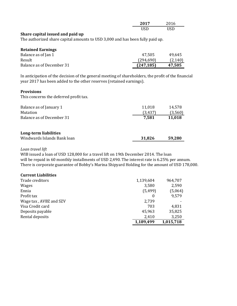| 2017<br>60 L I | 001c<br>2016 |
|----------------|--------------|
| USD            | USD          |

## **Share capital issued and paid up**

The authorized share capital amounts to USD 3,000 and has been fully paid up.

| <b>Retained Earnings</b>  |            |          |
|---------------------------|------------|----------|
| Balance as of Jan 1       | 47.505     | 49.645   |
| Result                    | (294, 690) | (2, 140) |
| Balance as of December 31 | (247, 185) | 47,505   |

In anticipation of the decision of the general meeting of shareholders, the profit of the financial year 2017 has been added to the other reserves (retained earnings).

## **Provisions**

This concerns the deferred profit tax.

| Balance as of January 1<br>Mutation | 11,018<br>(3,437) | 14,578<br>(3,560) |
|-------------------------------------|-------------------|-------------------|
| Balance as of December 31           | 7,581             | 11,018            |
|                                     |                   |                   |
| Long-term liabilities               |                   |                   |
| Windwards Islands Bank loan         | 31,826            | 59,280            |

## *Loan travel lift*

WIB issued a loan of USD 128,000 for a travel lift on 19th December 2014. The loan will be repaid in 60 monthly installments of USD 2,490. The interest rate is 6.25% per annum. There is corporate guarantee of Bobby's Marina Shipyard Holding for the amount of USD 178,000.

| <b>Current Liabilities</b> |           |           |
|----------------------------|-----------|-----------|
| Trade creditors            | 1,139,604 | 964,707   |
| <b>Wages</b>               | 3,580     | 2,590     |
| Ennia                      | (5, 499)  | (5,064)   |
| Profit tax                 |           | 9,579     |
| Wage tax, AVBZ and SZV     | 2,739     |           |
| Visa Credit card           | 703       | 4,831     |
| Deposits payable           | 45,963    | 35,825    |
| Rental deposits            | 2,410     | 3,250     |
|                            | 1,189,499 | 1,015,718 |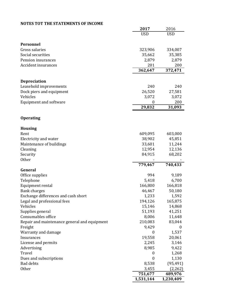## **NOTES TOT THE STATEMENTS OF INCOME**

|                                              | 2017             | 2016             |
|----------------------------------------------|------------------|------------------|
|                                              | <b>USD</b>       | <b>USD</b>       |
|                                              |                  |                  |
| Personnel                                    |                  |                  |
| Gross salaries                               | 323,906          | 334,007          |
| Social securities                            | 35,662           | 35,385           |
| Pension insurances                           | 2,879            | 2,879            |
| <b>Accident insurances</b>                   | 201              | 200              |
|                                              | 362,647          | 372,471          |
|                                              |                  |                  |
| <b>Depreciation</b>                          |                  |                  |
| Leasehold improvements                       | 240              | 240              |
| Dock piers and equipment                     | 26,520           | 27,581           |
| Vehicles                                     | 3,072            | 3,072            |
| Equipment and software                       | 0                | 200              |
|                                              | 29,832           | 31,093           |
| <b>Operating</b>                             |                  |                  |
|                                              |                  |                  |
| <b>Housing</b>                               |                  |                  |
| Rent                                         | 609,095          | 603,000          |
| Electricity and water                        | 38,902           | 45,851           |
| Maintenance of buildings                     | 33,601           | 11,244           |
| Cleaning                                     | 12,954           | 12,136           |
| Security                                     | 84,915           | 68,202           |
| Other                                        |                  |                  |
|                                              | 779,467          | 740,433          |
| General                                      |                  |                  |
| Office supplies                              | 994              | 9,189            |
| Telephone                                    | 5,418            | 6,700            |
| Equipment rental                             | 166,800          | 166,818          |
| <b>Bank charges</b>                          | 46,467           | 50,180           |
| Exchange differences and cash short          | 1,233            | 1,592            |
| Legal and professional fees                  | 194,126          | 165,875          |
| Vehicles                                     | 15,146           | 14,868           |
| Supplies general                             | 51,193           | 41,251           |
| Consumables office                           | 8,006            | 11,648           |
| Repair and maintenance general and equipment | 210,083          | 83,044           |
| Freight                                      | 9,429            | $\boldsymbol{0}$ |
| Warranty and damage                          | $\boldsymbol{0}$ | 1,537            |
| Insurances                                   | 19,558           | 20,061           |
| License and permits                          | 2,245            | 3,146            |
| Advertising                                  | 8,985            | 9,422            |
| Travel                                       | $\boldsymbol{0}$ | 1,268            |
| Dues and subscriptions                       | $\boldsymbol{0}$ | 1,130            |
| <b>Bad debts</b>                             | 8,538            | (95, 491)        |
| Other                                        | 3,455            | (2, 262)         |
|                                              | 751,677          | 489,976          |
|                                              | 1,531,144        | 1,230,409        |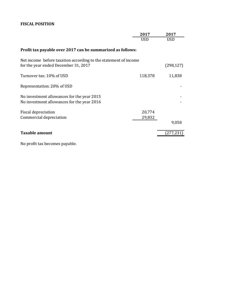## **FISCAL POSITION**

|                                                                                                         | 2017             | 2017       |
|---------------------------------------------------------------------------------------------------------|------------------|------------|
|                                                                                                         | <b>USD</b>       | <b>USD</b> |
| Profit tax payable over 2017 can be summarized as follows:                                              |                  |            |
| Net income before taxation according to the statement of income<br>for the year ended December 31, 2017 |                  | (298, 127) |
| Turnover tax: 10% of USD                                                                                | 118,378          | 11,838     |
| Representation: 20% of USD                                                                              |                  |            |
| No investment allowances for the year 2015<br>No investment allowances for the year 2016                |                  |            |
| Fiscal depreciation<br>Commercial depreciation                                                          | 20,774<br>29,832 |            |
|                                                                                                         |                  | 9,058      |
| <b>Taxable amount</b>                                                                                   |                  | (277,23)   |

No profit tax becomes payable.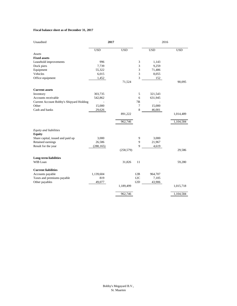#### **Fiscal balance sheet as of December 31, 2017**

| Unaudited                                | 2017       |            |                | 2016       |            |  |
|------------------------------------------|------------|------------|----------------|------------|------------|--|
|                                          | <b>USD</b> | <b>USD</b> |                | <b>USD</b> | <b>USD</b> |  |
| Assets                                   |            |            |                |            |            |  |
| <b>Fixed assets</b>                      |            |            |                |            |            |  |
| Leasehold improvements                   | 996        |            | 3              | 1,143      |            |  |
| Dock piers                               | 7,739      |            | 3              | 9,259      |            |  |
| Equipment                                | 55,322     |            | 3              | 71,486     |            |  |
| Vehicles                                 | 6,015      |            | 3              | 8,055      |            |  |
| Office equipment                         | 1,452      |            | 3              | 152        |            |  |
|                                          |            | 71,524     |                |            | 90,095     |  |
| <b>Current assets</b>                    |            |            |                |            |            |  |
| Inventory                                | 303,735    |            | 5              | 321,543    |            |  |
| Accounts receivable                      | 542,862    |            | 6              | 631,945    |            |  |
| Current Account Bobby's Shipyard Holding |            |            | 7B             |            |            |  |
| Other                                    | 15,000     |            | $\overline{7}$ | 15,000     |            |  |
| Cash and banks                           | 29,626     |            | 8              | 46,001     |            |  |
|                                          |            | 891,222    |                |            | 1,014,489  |  |
|                                          |            | 962,746    |                |            | 1,104,584  |  |
| Equity and liabilities                   |            |            |                |            |            |  |
| <b>Equity</b>                            |            |            |                |            |            |  |
| Share capital, issued and paid up        | 3,000      |            | 9              | 3,000      |            |  |
| Retained earnings                        | 26,586     |            | 9              | 21,967     |            |  |
| Result for the year                      | (288, 165) |            | 9              | 4,619      |            |  |
|                                          |            | (258, 579) |                |            | 29,586     |  |
| <b>Long-term liabilities</b>             |            |            |                |            |            |  |
| WIB Loan                                 |            | 31,826     | 11             |            | 59,280     |  |
| <b>Current liabilities</b>               |            |            |                |            |            |  |
| Accounts payable                         | 1,139,604  |            | 12B            | 964,707    |            |  |
| Taxes and premiums payable               | 819        |            | 12C            | 7,105      |            |  |
| Other payables                           | 49,077     |            | 12D            | 43,906     |            |  |
|                                          |            | 1,189,499  |                |            | 1,015,718  |  |
|                                          |            | 962,746    |                |            | 1,104,584  |  |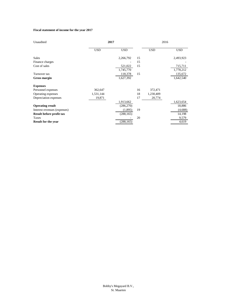#### **Fiscal statement of income for the year 2017**

| Unaudited                    |            | 2017       |    | 2016       |            |
|------------------------------|------------|------------|----|------------|------------|
|                              | <b>USD</b> | <b>USD</b> |    | <b>USD</b> | <b>USD</b> |
| <b>Sales</b>                 |            | 2,266,792  | 15 |            | 2,493,923  |
| Finance charges              |            |            | 15 |            |            |
| Cost of sales                |            | 521,022    | 15 |            | 715,711    |
|                              |            | 1,745,770  |    |            | 1,778,212  |
| Turnover tax                 |            | 118,378    | 15 |            | 135,672    |
| <b>Gross margin</b>          |            | 1,627,392  |    |            | 1,642,540  |
| <b>Expenses</b>              |            |            |    |            |            |
| Personnel expenses           | 362,647    |            | 16 | 372,471    |            |
| Operating expenses           | 1,531,144  |            | 18 | 1,230,409  |            |
| Depreciation expenses        | 19,871     |            | 17 | 20,774     |            |
|                              |            | 1,913,662  |    |            | 1,623,654  |
| <b>Operating result</b>      |            | (286, 270) |    |            | 18,886     |
| Interest revenues (expenses) |            | (1,895)    | 19 |            | (4,688)    |
| Result before profit tax     |            | (288, 165) |    |            | 14,198     |
| Taxes                        |            |            | 20 |            | 9,579      |
| <b>Result for the year</b>   |            | (288, 165) |    |            | 4,619      |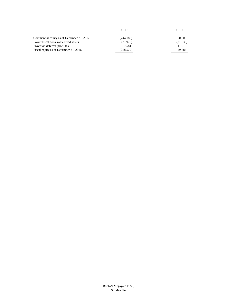|                                           | USD        | USD      |
|-------------------------------------------|------------|----------|
| Commercial equity as of December 31, 2017 | (244, 185) | 50.505   |
| Lower fiscal book value fixed assets      | (21, 975)  | (31,936) |
| Provision deferred profit tax             | 7.581      | 11.018   |
| Fiscal equity as of December 31, 2016     | (258, 579) | 29.587   |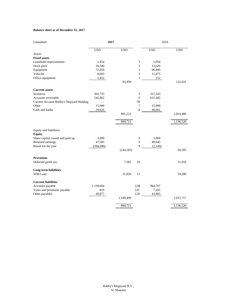#### **Balance sheet as of December 31, 2017**

| Unaudited                                | 2017       |            |     | 2016       |            |  |
|------------------------------------------|------------|------------|-----|------------|------------|--|
|                                          | <b>USD</b> | <b>USD</b> |     | <b>USD</b> | <b>USD</b> |  |
| Assets                                   |            |            |     |            |            |  |
| <b>Fixed assets</b>                      |            |            |     |            |            |  |
| Leasehold improvements                   | 1,454      |            | 3   | 1,694      |            |  |
| Dock piers                               | 10,340     |            | 3   | 12,620     |            |  |
| Equipment                                | 72,250     |            | 3   | 96,490     |            |  |
| Vehicles                                 | 8,003      |            | 3   | 11,075     |            |  |
| Office equipment                         | 1,452      |            | 3   | 152        |            |  |
|                                          |            | 93,499     |     |            | 122,031    |  |
| <b>Current assets</b>                    |            |            |     |            |            |  |
| Inventory                                | 303,735    |            | 5   | 321,543    |            |  |
| Accounts receivable                      | 542,862    |            | 6   | 631,945    |            |  |
| Current Account Bobby's Shipyard Holding |            |            | 7B  |            |            |  |
| Other                                    | 15,000     |            | 7   | 15,000     |            |  |
| Cash and banks                           | 29,626     |            | 8   | 46,001     |            |  |
|                                          |            | 891,222    |     |            | 1,014,489  |  |
|                                          |            | 984,721    |     |            | 1,136,520  |  |
| Equity and liabilities                   |            |            |     |            |            |  |
| <b>Equity</b>                            |            |            |     |            |            |  |
| Share capital, issued and paid up        | 3,000      |            | 9   | 3,000      |            |  |
| Retained earnings                        | 47,505     |            | 9   | 49,645     |            |  |
| Result for the year                      | (294, 690) |            | 9   |            |            |  |
|                                          |            |            |     | (2,140)    |            |  |
|                                          |            | (244, 185) |     |            | 50,505     |  |
| <b>Provisions</b>                        |            |            |     |            |            |  |
| Deferred profit tax                      |            | 7,581      | 10  |            | 11,018     |  |
| <b>Long-term liabilities</b>             |            |            |     |            |            |  |
| WIB Loan                                 |            | 31,826     | 11  |            | 59,280     |  |
| <b>Current liabilities</b>               |            |            |     |            |            |  |
| Accounts payable                         | 1,139,604  |            | 12B | 964,707    |            |  |
| Taxes and premiums payable               | 819        |            | 12C | 7,105      |            |  |
| Other payables                           | 49,077     |            | 12D | 43,905     |            |  |
|                                          |            | 1,189,499  |     |            | 1,015,717  |  |
|                                          |            | 984,721    |     |            | 1,136,520  |  |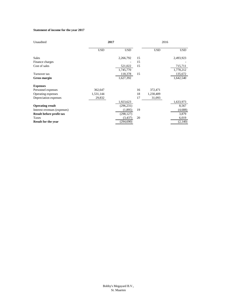#### **Statement of income for the year 2017**

| Unaudited                    |            | 2017       |    | 2016       |           |
|------------------------------|------------|------------|----|------------|-----------|
|                              | <b>USD</b> | <b>USD</b> |    | <b>USD</b> | USD       |
| <b>Sales</b>                 |            | 2,266,792  | 15 |            | 2,493,923 |
| Finance charges              |            |            | 15 |            |           |
| Cost of sales                |            | 521,022    | 15 |            | 715,711   |
|                              |            | 1,745,770  |    |            | 1,778,212 |
| Turnover tax                 |            | 118,378    | 15 |            | 135,672   |
| <b>Gross margin</b>          |            | 1,627,392  |    |            | 1,642,540 |
| <b>Expenses</b>              |            |            |    |            |           |
| Personnel expenses           | 362,647    |            | 16 | 372,471    |           |
| Operating expenses           | 1,531,144  |            | 18 | 1,230,409  |           |
| Depreciation expenses        | 29,832     |            | 17 | 31,093     |           |
|                              |            | 1,923,623  |    |            | 1,633,973 |
| <b>Operating result</b>      |            | (296, 231) |    |            | 8,567     |
| Interest revenues (expenses) |            | (1,895)    | 19 |            | (4,688)   |
| Result before profit tax     |            | (298, 127) |    |            | 3,879     |
| Taxes                        |            | (3, 437)   | 20 |            | 6,019     |
| <b>Result for the year</b>   |            | (294, 690) |    |            | (2,140)   |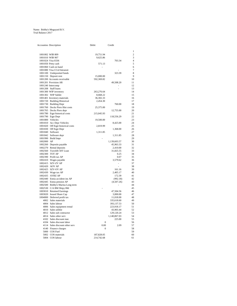#### Name: Bobby's Megayard B.V. Trial Balance 2017

|            | Accountno Description             | Debit        | Credit       |                |
|------------|-----------------------------------|--------------|--------------|----------------|
|            |                                   |              |              | $\mathbf{1}$   |
|            | 1001002 WIB 809                   | 19,751.94    |              | $\overline{c}$ |
|            | 1001010 WIB 907                   | 9,625.86     |              | 3              |
|            | 1001024 Visa 0336                 |              | 703.34       | $\overline{4}$ |
|            | 1001050 Petty cash                | 571.13       |              | 5              |
|            | 1001060 Cash on hand              |              |              | 6              |
|            | 1001080 Visa CCrd Intransit       |              |              | 7              |
|            | 1001100 Undeposited funds         |              | 323.39       | 8              |
|            | 1001150 Deposit rent              | 15,000.00    |              | $\overline{Q}$ |
|            | 1001200 Accounts receivable       | 592,369.82   |              | 10             |
|            | 1001201 Provision AR              |              | 49,508.20    | 11             |
|            | 1001240 Intercomp                 |              |              | 12             |
|            | 1001208 Staff loans               |              | Ĭ.           | 13             |
|            | 1001300 WIP inventory             | 263,276.64   |              | 14             |
|            | 1001302 WIP Sublet                | 8,668.22     |              | 15             |
|            | 1001401 Inventory materials       | 36,302.33    |              | 16             |
|            | 1001720 Building Historical       | 2,454.30     |              | 17             |
|            | 1001730 Building Depr             |              | 760.00       | 18             |
|            | 1001760 Docks Piers Hist costs    | 25,375.00    |              | 19             |
|            | 1001765 Docks Piers depr          |              | 12,755.00    | 20             |
|            | 1001780 Eqpt historical costs     | 215,045.93   |              | 21             |
|            | 1001790 Eqpt Depr                 |              | 118,556.29   | 22             |
|            | 1001800 Vehicles                  | 19,500.00    |              | 23             |
|            | 1001810 Acc Depr Vehicles         |              | 8,425.00     | 24             |
|            | 1001820 Off Eqpt historical costs | 2,819.99     |              | 25             |
|            | 1001830 Off Eqpt Depr             |              | 1,368.00     | 26             |
|            | 1001840 Software                  | 1,311.85     |              | 27             |
|            | 1001842 Software depr             |              | 1,311.85     | 28             |
|            | 1001990 Build Impr                |              |              | 29             |
| 1002000 AP |                                   |              | 1,139,603.57 | 30             |
|            | 1002260 Deposits payable          |              | 45,963.33    | 31             |
|            | 1002270 Rental deposits           |              | 2,410.00     | 32             |
|            | 1002560 Travelift 50T Loan        |              | 31,825.55    | 33             |
|            | 1002300 TOT AP                    |              | 0.25         | 34             |
|            | 1002390 Profit tax AP             |              | 0.07         | 35             |
|            | 1002410 Wages payable             |              | 3,579.62     | 36             |
|            | 1002415 SZV-ZV AP                 |              | ä,           | 37             |
|            | 1002420 AOV AP                    |              |              | 38             |
|            | 1002425 SZV-OV AP                 |              | 161.16       | 39             |
|            | 1002430 Wage tax AP               |              | 2,405.17     | 40             |
|            | 1002435 AVBZ AP                   |              | 172.39       | 41             |
|            | 1002440 Ennia accident ins AP     |              | (992.18)     | 42             |
|            | 1002445 Ennia pension AP          |              | (4,507.26)   | 43             |
|            | 1002500 Bobby's Marina Long term  |              |              | 44             |
|            | 1002530 C/A BM Shipy Hld          |              |              | 45             |
|            | 1003010 Retained Earnings         |              | 47,504.56    | 46             |
|            | 1003020 Issued Share Cap          |              | 3,000.00     | 47             |
|            | 1004000 Deferred profit tax       |              | 11,018.00    | 48             |
|            | 4002 Sales materials              |              | 335,618.60   | 49             |
|            | 4004 Sales labour                 |              | 393,137.53   | 50             |
|            | 4006 Sales equipment rental       |              | 223,918.17   | 51             |
|            | 4010 Sales utilitie               |              | 43,903.44    | 52             |
|            | 4012 Sales sub contractor         |              | 129,120.24   | 53             |
|            | 4014 Sales other serv             |              | 1,140,867.03 | 54             |
|            | 4102 Sales discount mat.          |              | 225.00       | 55             |
|            | 4104 Sales discount labor         | $\mathbf{0}$ |              | 56             |
|            | 4114 Sales discount other serv    | 0.00         | 2.09         | 57             |
|            | 4140 Finance charges              | 0            |              | 58             |
|            | 5000 COS Fuel                     |              |              | 59             |
|            | 5002 COS materials                | 187,828.05   |              | 60             |
|            | 5004 COS labour                   | 214,742.68   |              | 61             |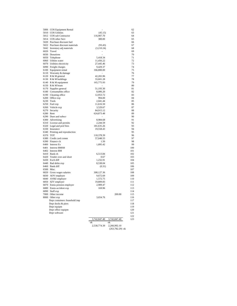| 5006 | COS Equipment Rental                              |                        |              |
|------|---------------------------------------------------|------------------------|--------------|
|      | 5010 COS Utilities                                | (45.15)                |              |
|      | 5012 COS sub Contractor                           | 116,907.70             |              |
|      | 5014 COS other Serv                               | 380.00                 |              |
|      | 5020 Purchase discount fuel                       |                        |              |
|      | 5022 Purchase discount materials                  | (93.43)                |              |
|      | 5042 Inventory adj materials                      | (3,210.24)             |              |
|      | 6020 Travel                                       |                        |              |
|      | 6030 Donations                                    |                        |              |
|      | 6050 Telephone                                    | 5,418.34               |              |
|      | 6060 Utlities water<br>6070 Utilities electricity | 11,456.22<br>27,445.46 |              |
|      | 6090 Freight charges                              | 9,429.37               |              |
|      | 6100 Equipment rental                             | 166,800.00             |              |
|      | 6110 Warranty & damage                            |                        |              |
|      | 6120 R & M general                                | 42,265.96              |              |
|      | 6130 R & M buildings                              | 33,601.28              |              |
|      | 6140 R & M equipment                              | 165,775.93             |              |
|      | 6150 R & M boats                                  |                        |              |
|      | 6170 Supplies general                             | 51,193.30              |              |
|      | 6180 Consumables office                           | 8,006.20               |              |
|      | 6190 Cleaning office                              | 12,953.72              |              |
|      | 6200 Office exp                                   | 994.00                 |              |
|      | 6230 Tools                                        | 2,041.44               |              |
|      | 6250 Fuel exp                                     | 11,616.50              |              |
|      | 6260 Vehicle exp                                  | 3,529.67               |              |
|      | 6270 Security                                     | 84,915.12              |              |
|      | 6280 Rent                                         | 624,873.48             |              |
|      | 6290 Dues and subscr                              | ÷,                     |              |
|      | 6300 Advertising                                  | 8,984.68               |              |
|      | 6310 License and permits                          | 2,244.59               |              |
|      | 6320 Legal and prof fees                          | 181,635.26             |              |
|      | 6330 Insurance                                    | 19,558.43              |              |
|      | 6340 Printing and reproduction                    |                        |              |
|      | 6370 TOT                                          | 118,378.39             |              |
|      | 6380 Credit card comm                             | 57,048.55              |              |
|      | 6390 Finance ch                                   | 1.50                   |              |
|      | 6400 Interest Ex                                  | 1,895.42               |              |
|      | 6401 Interest BMSH                                |                        |              |
|      | 6402 Interest BM                                  |                        |              |
|      | 6410 Bank ch                                      | 6,513.84               |              |
|      | 6420 Tender over and short                        | 0.67                   |              |
|      | 6430 Exch diff                                    | 1,232.91               |              |
|      | 6440 Bad debts exp                                | 8,538.04               |              |
|      | 6460 Bank diff<br>6500 Misc.                      | (0.31)                 |              |
|      | 6820 Gross wages salaries                         | 308,127.36             |              |
|      | 6830 AOV employer                                 | 9,672.69               |              |
|      | 6840 AVBZ employer                                | 1,572.75               |              |
|      | 6850 SZV employer                                 | 19,809.83              |              |
|      | 6870 Ennia pension employer                       | 2,909.47               |              |
|      | 6880 Ennia accident exp                           | 169.96                 |              |
|      | 6890 Staff exp                                    |                        |              |
|      | 7000 Other income                                 |                        | 200.00       |
|      | 8000 Other exp                                    | 3,654.76               |              |
|      | Depr containers /leasehold imp                    |                        |              |
|      | Depr docks & piers                                |                        |              |
|      | Depr equipm                                       |                        |              |
|      | Depr office equipm                                |                        |              |
|      | Depr software                                     |                        |              |
|      |                                                   |                        |              |
|      |                                                   | 3,742,847.40           | 3,742,847.40 |
|      |                                                   | ok                     | ok           |
|      |                                                   | 2,530,774.39           | 2,266,992.10 |

(263,782.29) ok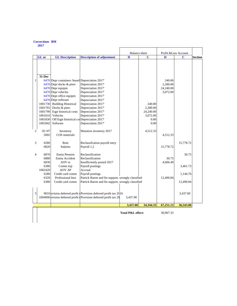## **Corrections BM**

|   |                              | <b>Balance</b> sheet                                                                                                                                                                                                                                                                                                                          |                                                                                                                                                                                                                          | Profit &Loss Account |                                                             |                                             |                      |                |
|---|------------------------------|-----------------------------------------------------------------------------------------------------------------------------------------------------------------------------------------------------------------------------------------------------------------------------------------------------------------------------------------------|--------------------------------------------------------------------------------------------------------------------------------------------------------------------------------------------------------------------------|----------------------|-------------------------------------------------------------|---------------------------------------------|----------------------|----------------|
|   | $GL$ <sub>nr</sub>           | <b>GL Description</b>                                                                                                                                                                                                                                                                                                                         | <b>Description of adjustment</b>                                                                                                                                                                                         | D                    | $\overline{c}$                                              | D                                           | C                    | <b>Section</b> |
| 1 | 31-Dec<br>1001830<br>1001842 | 6470 Depr containers /leaseh Depreciation 2017'<br>$6470$ Depr docks & piers<br>6470 Depr equipm<br>6470 Depr vehicles<br>6470 Depr office equipm<br>6470 Depr software<br>1001730 Building Historical<br>1001765 Docks & piers<br>1001790 Eqpt historical costs<br>1001810 Vehicles<br>Off Eqpt historical cosDepreciation 2017'<br>Software | Depreciation 2017'<br>Depreciation 2017'<br>Depreciation 2017'<br>Depreciation 2017'<br>Depreciation 2017'<br>Depreciation 2017'<br>Depreciation 2017'<br>Depreciation 2017'<br>Depreciation 2017'<br>Depreciation 2017' |                      | 240.00<br>2,280.00<br>24,240.00<br>3,072.00<br>0.00<br>0.00 | 240.00<br>2,280.00<br>24,240.00<br>3,072.00 |                      |                |
| 2 | $1E + 07$<br>5002            | Inventory<br>COS materials                                                                                                                                                                                                                                                                                                                    | Mutation inventory 2017                                                                                                                                                                                                  |                      | 4,512.33                                                    | 4,512.33                                    |                      |                |
| 3 | 6280<br>6820                 | Rent<br><b>Salaries</b>                                                                                                                                                                                                                                                                                                                       | Reclassifcation payroll entry<br>Payroll 1,2                                                                                                                                                                             |                      |                                                             | 15,778.72                                   | 15,778.72            |                |
| 4 | 6870<br>6880<br>6830         | <b>Ennia Pension</b><br>Ennia Accident<br>AOV er                                                                                                                                                                                                                                                                                              | Reclassification<br>Reclassification<br>Insufficiently posted 2017                                                                                                                                                       |                      |                                                             | 30.75<br>4,606.49                           | 30.75                |                |
|   | 6380<br>1002420<br>6280      | Comm exp<br><b>AOV AP</b><br>Credit card comm                                                                                                                                                                                                                                                                                                 | Payroll postings<br>Accrual<br>Payroll postings                                                                                                                                                                          |                      |                                                             |                                             | 3,461.73<br>1,144.76 |                |
|   | 6320<br>6380                 | Professional fees<br>Credit card comm                                                                                                                                                                                                                                                                                                         | Patrick Barret and fin support, wrongly classified<br>Patrick Barret and fin support, wrongly classified                                                                                                                 |                      |                                                             | 12,490.84                                   | 12,490.84            |                |
| 5 |                              |                                                                                                                                                                                                                                                                                                                                               | 9010 pvision deferred profit tProvision deferred profit tax 2016<br>1004000 ovision deferred profit tProvision deferred profit tax 20                                                                                    | 3,437.00             |                                                             |                                             | 3,437.00             |                |
|   |                              |                                                                                                                                                                                                                                                                                                                                               |                                                                                                                                                                                                                          | 3,437.00             | 34,344.33                                                   | 67,251.13                                   | 36,343.80            |                |
|   |                              |                                                                                                                                                                                                                                                                                                                                               |                                                                                                                                                                                                                          | Total P&L effect:    |                                                             | 30,907.33                                   |                      |                |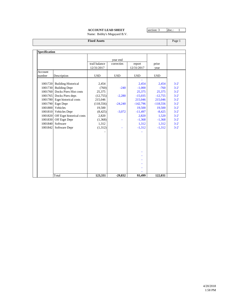## **ACCOUNT LEAD SHEET** section: 3 doc.: 1

Name: Bobby's Megayard B.V.

**Fixed Assets** Page 1

|                   |                            |                             | year end   |                      |               |          |
|-------------------|----------------------------|-----------------------------|------------|----------------------|---------------|----------|
|                   |                            | trail balance<br>12/31/2017 | correcties | report<br>12/31/2017 | prior<br>year |          |
| Account<br>number | Description                | <b>USD</b>                  | <b>USD</b> | <b>USD</b>           | <b>USD</b>    |          |
| 1001720           | <b>Building Historical</b> | 2,454                       |            | 2,454                | 2,454         | $3 - 2'$ |
| 1001730           | <b>Building Depr</b>       | (760)                       | $-240$     | $-1,000$             | $-760$        | $3 - 2'$ |
| 1001760           | Docks Piers Hist costs     | 25,375                      |            | 25,375               | 25,375        | $3 - 2'$ |
| 1001765           | Docks Piers depr.          | (12,755)                    | $-2,280$   | $-15,035$            | $-12,755$     | $3 - 2'$ |
| 1001780           | Eqpt historical costs      | 215,046                     |            | 215,046              | 215,046       | $3 - 2'$ |
| 1001790           | Eqpt Depr                  | (118, 556)                  | $-24,240$  | $-142,796$           | $-118,556$    | $3 - 2'$ |
| 1001800           | Vehicles                   | 19,500                      |            | 19,500               | 19,500        | $3 - 2'$ |
|                   | 1001810 Vehicles Depr      | (8, 425)                    | $-3,072$   | $-11,497$            | $-8,425$      | $3 - 2'$ |
| 1001820           | Off Eqpt historical costs  | 2,820                       |            | 2,820                | 1,520         | $3 - 2'$ |
| 1001830           | Off Eqpt Depr              | (1,368)                     |            | $-1,368$             | $-1,368$      | $3 - 2'$ |
| 1001840           | Software                   | 1,312                       |            | 1,312                | 1,312         | $3 - 2'$ |
| 1001842           | Software Depr              | (1, 312)                    |            | $-1,312$             | $-1,312$      | $3 - 2'$ |
|                   |                            |                             |            |                      |               |          |
|                   |                            |                             |            |                      |               |          |
|                   |                            |                             |            |                      |               |          |
|                   |                            |                             |            |                      |               |          |
|                   |                            |                             |            |                      |               |          |
|                   |                            |                             |            |                      |               |          |
|                   |                            |                             |            |                      |               |          |
|                   | Total                      | 123,331                     | $-29,832$  | 93,499               | 122,031       |          |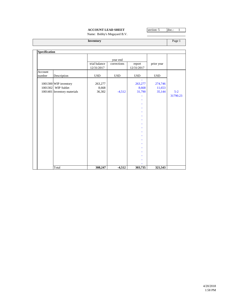## **ACCOUNT LEAD SHEET** section: 5 doc.: 1

Name: Bobby's Megayard B.V.

**Inventory** Page 1

| Specification     |                                                                            |                             |             |                            |                             |                   |
|-------------------|----------------------------------------------------------------------------|-----------------------------|-------------|----------------------------|-----------------------------|-------------------|
|                   |                                                                            |                             | year end    |                            |                             |                   |
|                   |                                                                            | trial balance<br>12/31/2017 | corrections | report<br>12/31/2017       | prior year                  |                   |
| Account<br>number | Description                                                                | <b>USD</b>                  | <b>USD</b>  | <b>USD</b>                 | <b>USD</b>                  |                   |
|                   | 1001300 WIP inventory<br>1001302 WIP Sublet<br>1001401 Inventory materials | 263,277<br>8,668<br>36,302  | $-4,512$    | 263,277<br>8,668<br>31,790 | 274,746<br>11,653<br>35,144 | $5-2$<br>31790.23 |
|                   |                                                                            |                             |             |                            |                             |                   |
|                   | Total                                                                      | 308,247                     | $-4,512$    | 303,735                    | 321,543                     |                   |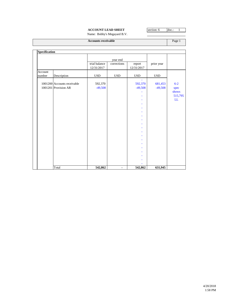## **ACCOUNT LEAD SHEET** section: 6 doc.: 1

Name: Bobby's Megayard B.V.

| <b>Accounts receivable</b> |                                                     |                             |                |                                                                        |                      |                                           |
|----------------------------|-----------------------------------------------------|-----------------------------|----------------|------------------------------------------------------------------------|----------------------|-------------------------------------------|
| Specification              |                                                     |                             |                |                                                                        |                      |                                           |
|                            |                                                     |                             | year end       |                                                                        |                      |                                           |
|                            |                                                     | trial balance<br>12/31/2017 | corrections    | report<br>12/31/2017                                                   | prior year           |                                           |
| Account<br>number          | Description                                         | <b>USD</b>                  | <b>USD</b>     | <b>USD</b>                                                             | <b>USD</b>           |                                           |
|                            | 1001200 Accounts receivable<br>1001201 Provision AR | 592,370<br>$-49,508$        |                | 592,370<br>$-49,508$<br>۰<br>۰<br>۰<br>÷<br>÷<br>۰<br>÷<br>۰<br>÷<br>÷ | 681,453<br>$-49,508$ | $6 - 2$<br>spec<br>shows<br>515,795<br>LL |
|                            | Total                                               | 542,862                     | $\blacksquare$ | 542,862                                                                | 631,945              |                                           |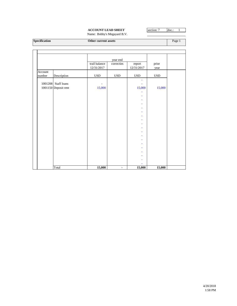## **ACCOUNT LEAD SHEET** section: 7 doc.: 1

Name: Bobby's Megayard B.V.

**Specification COMEX COMEX COMEX COMEX COMEX COMEX COMEX COMEX COMEX COMEX COMEX COMEX COMEX COMEX COMEX COMEX COMEX COMEX COMEX COMEX COMEX COMEX COMEX COMEX COMEX COMEX COMEX COMEX COMEX COMEX COMEX COMEX COMEX COMEX C** 

|                   |                      |                             | year end       |                      |               |  |
|-------------------|----------------------|-----------------------------|----------------|----------------------|---------------|--|
|                   |                      | trail balance<br>12/31/2017 | correcties     | report<br>12/31/2017 | prior<br>year |  |
| Account<br>number | Description          | $_{\rm USD}$                | <b>USD</b>     | $_{\rm USD}$         | <b>USD</b>    |  |
|                   |                      |                             |                | ٠                    |               |  |
| 1001208           | Staff loans          | $\overline{\phantom{a}}$    |                |                      |               |  |
|                   | 1001150 Deposit rent | 15,000                      |                | 15,000               | 15,000        |  |
|                   |                      |                             |                |                      |               |  |
|                   |                      |                             |                |                      |               |  |
|                   |                      |                             |                | ۰                    |               |  |
|                   |                      |                             |                |                      |               |  |
|                   |                      |                             |                |                      |               |  |
|                   |                      |                             |                |                      |               |  |
|                   |                      |                             |                |                      |               |  |
|                   |                      |                             |                |                      |               |  |
|                   |                      |                             |                |                      |               |  |
|                   |                      |                             |                |                      |               |  |
|                   |                      |                             |                |                      |               |  |
|                   |                      |                             |                |                      |               |  |
|                   |                      |                             |                |                      |               |  |
|                   |                      |                             |                |                      |               |  |
|                   |                      |                             |                |                      |               |  |
|                   |                      |                             |                |                      |               |  |
|                   | Total                | 15,000                      | $\blacksquare$ | 15,000               | 15,000        |  |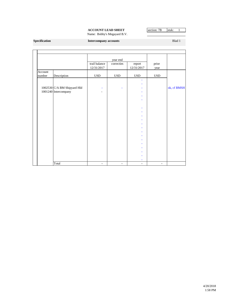# **ACCOUNT LEAD SHEET** section: 7B stuk: 1

Name: Bobby's Megayard B.V.

#### **Specification Intercompany accounts Intercompany accounts Blad 1**

|         |                             |                             | year end       |                      |                |             |
|---------|-----------------------------|-----------------------------|----------------|----------------------|----------------|-------------|
|         |                             | trail balance<br>12/31/2017 | correcties     | report<br>12/31/2017 | prior<br>year  |             |
| Account |                             |                             |                |                      |                |             |
| number  | Description                 | <b>USD</b>                  | <b>USD</b>     | <b>USD</b>           | <b>USD</b>     |             |
|         |                             |                             |                | ٠                    |                |             |
|         |                             |                             |                |                      |                |             |
|         | 1002530 C/A BM Shipyard Hld |                             | Ξ              |                      |                | ok, cf BMSH |
|         | 1001240 Intercompany        |                             |                |                      |                |             |
|         |                             |                             |                | ۰                    |                |             |
|         |                             |                             |                |                      |                |             |
|         |                             |                             |                |                      |                |             |
|         |                             |                             |                |                      |                |             |
|         |                             |                             |                |                      |                |             |
|         |                             |                             |                |                      |                |             |
|         |                             |                             |                |                      |                |             |
|         |                             |                             |                |                      |                |             |
|         |                             |                             |                |                      |                |             |
|         |                             |                             |                |                      |                |             |
|         |                             |                             |                |                      |                |             |
|         |                             |                             |                |                      |                |             |
|         |                             |                             |                |                      |                |             |
|         |                             |                             |                |                      |                |             |
|         |                             |                             |                |                      |                |             |
|         |                             |                             |                |                      |                |             |
|         | Total                       | $\blacksquare$              | $\blacksquare$ | $\blacksquare$       | $\blacksquare$ |             |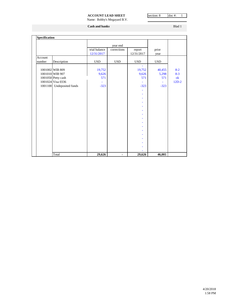## **ACCOUNT LEAD SHEET** section: 8 doc #: 1

Name: Bobby's Megayard B.V.

**Cash and banks** Blad 1

| Specification |                           |                             |             |                      |               |         |
|---------------|---------------------------|-----------------------------|-------------|----------------------|---------------|---------|
|               |                           |                             | year end    |                      |               |         |
|               |                           | trial balance<br>12/31/2017 | corrections | report<br>12/31/2017 | prior<br>year |         |
| Account       |                           |                             |             |                      |               |         |
| number        | Description               | <b>USD</b>                  | <b>USD</b>  | <b>USD</b>           | <b>USD</b>    |         |
|               |                           |                             |             |                      |               |         |
|               | 1001002 WIB 809           | 19,752                      |             | 19,752               | 40,455        | $8-2$   |
|               | 1001010 WIB 907           | 9,626                       |             | 9,626                | 5,298         | $8 - 3$ |
|               | 1001050 Petty cash        | 571                         |             | 571                  | 571           | ok      |
|               | 1001024 Visa 0336         |                             |             |                      | ä,            | $12D-2$ |
|               | 1001100 Undeposited funds | $-323$                      |             | $-323$               | $-323$        |         |
|               |                           |                             |             |                      |               |         |
|               |                           |                             |             |                      |               |         |
|               |                           |                             |             |                      |               |         |
|               |                           |                             |             |                      |               |         |
|               |                           |                             |             |                      |               |         |
|               |                           |                             |             |                      |               |         |
|               |                           |                             |             |                      |               |         |
|               |                           |                             |             |                      |               |         |
|               |                           |                             |             |                      |               |         |
|               |                           |                             |             |                      |               |         |
|               |                           |                             |             |                      |               |         |
|               |                           |                             |             |                      |               |         |
|               |                           |                             |             |                      |               |         |
|               |                           |                             |             |                      |               |         |
|               |                           |                             |             |                      |               |         |
|               |                           |                             |             |                      |               |         |
|               | Total                     | 29,626                      | -           | 29,626               | 46,001        |         |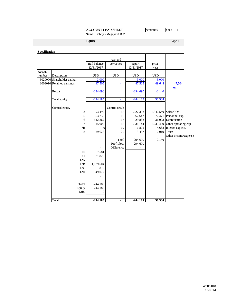## **ACCOUNT LEAD SHEET** section: 9 doc.: 1

Name: Bobby's Megayard B.V.

**Equity** Page 1

|         |                             |                | year end       |            |            |                      |
|---------|-----------------------------|----------------|----------------|------------|------------|----------------------|
|         |                             | trail balance  | correcties     | report     | prior      |                      |
|         |                             | 12/31/2017     |                | 12/31/2017 | year       |                      |
| Account |                             |                |                |            |            |                      |
| number  | Description                 | <b>USD</b>     | <b>USD</b>     | <b>USD</b> | <b>USD</b> |                      |
|         | 3020000 Shareholder capital | 3,000          |                | 3,000      | 3,000      |                      |
|         | 1003010 Retained earnings   | 47,505         |                | 47,505     | 49,644     | 47,504               |
|         |                             |                |                |            |            | $\mathbf{ok}$        |
|         | Result                      | $-294,690$     |                | $-294,690$ | $-2,140$   |                      |
|         |                             | $-244,185$     |                | $-244,185$ |            |                      |
|         | Total equity                |                |                |            | 50,504     |                      |
|         | Control equity              |                | Control result |            |            |                      |
|         | 3                           | 93,499         | 15             | 1,627,392  |            | 1,642,540 Sales/COS  |
|         | $\mathfrak s$               | 303,735        | 16             | 362,647    | 372,471    | Personnel exp        |
|         | 6                           | 542,862        | 17             | 29,832     |            | 31,093 Depreciation  |
|         | $\boldsymbol{7}$            | 15,000         | 18             | 1,531,144  | 1,230,409  | Other operating exp  |
|         | 7B                          | $\Omega$       | 19             | 1,895      | 4,688      | Interest exp etc.    |
|         | 8                           | 29,626         | 20             | $-3,437$   | 6,019      | Taxes                |
|         |                             |                |                |            |            | Other income/expense |
|         |                             |                | Total          | $-294,690$ | $-2,140$   |                      |
|         |                             |                | Profit/loss    | $-294,690$ |            |                      |
|         |                             |                | Difference     |            |            |                      |
|         | 10                          | 7,581          |                |            |            |                      |
|         | 11                          | 31,826         |                |            |            |                      |
|         | 12A                         |                |                |            |            |                      |
|         | 12B                         | 1,139,604      |                |            |            |                      |
|         | 12C                         | 819            |                |            |            |                      |
|         | 12D                         | 49,077         |                |            |            |                      |
|         |                             |                |                |            |            |                      |
|         | Total                       | $-244,185$     |                |            |            |                      |
|         | Equity                      | $-244,185$     |                |            |            |                      |
|         | Diff.                       | $\overline{0}$ |                |            |            |                      |
|         |                             |                |                |            |            |                      |
|         | Total                       | $-244,185$     |                | $-244,185$ | 50,504     |                      |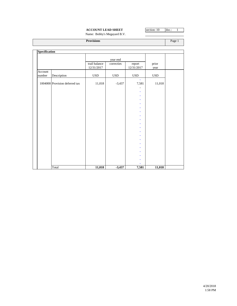## **ACCOUNT LEAD SHEET** section: 10 doc.: 1

Name: Bobby's Megayard B.V.

**Provisions** Provisions **Provisions** Page 1

| Specification |                                |                             |              |                      |               |  |
|---------------|--------------------------------|-----------------------------|--------------|----------------------|---------------|--|
|               |                                |                             | year end     |                      |               |  |
|               |                                | trail balance<br>12/31/2017 | correcties   | report<br>12/31/2017 | prior<br>year |  |
| Account       |                                |                             |              |                      |               |  |
| number        | Description                    | $_{\rm USD}$                | $_{\rm USD}$ | $_{\rm USD}$         | $_{\rm USD}$  |  |
|               | 1004000 Provision deferred tax | 11,018                      | $-3,437$     | ٠<br>7,581           | 11,018        |  |
|               |                                |                             |              |                      |               |  |
|               |                                |                             |              |                      |               |  |
|               |                                |                             |              | ۰                    |               |  |
|               |                                |                             |              |                      |               |  |
|               |                                |                             |              |                      |               |  |
|               |                                |                             |              |                      |               |  |
|               |                                |                             |              |                      |               |  |
|               |                                |                             |              |                      |               |  |
|               |                                |                             |              |                      |               |  |
|               |                                |                             |              |                      |               |  |
|               |                                |                             |              |                      |               |  |
|               |                                |                             |              |                      |               |  |
|               |                                |                             |              |                      |               |  |
|               |                                |                             |              |                      |               |  |
|               |                                |                             |              |                      |               |  |
|               |                                |                             |              |                      |               |  |
|               |                                |                             |              |                      |               |  |
|               |                                |                             |              |                      |               |  |
|               |                                |                             |              |                      |               |  |
|               | Total                          | 11,018                      | $-3,437$     | 7,581                | 11,018        |  |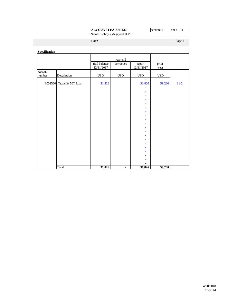## **ACCOUNT LEAD SHEET** section: 11 doc.: 1

Name: Bobby's Megayard B.V.

**Loan** Page 1

| Specification |                            |                             |                |                      |               |          |
|---------------|----------------------------|-----------------------------|----------------|----------------------|---------------|----------|
|               |                            |                             | year end       |                      |               |          |
|               |                            | trail balance<br>12/31/2017 | correcties     | report<br>12/31/2017 | prior<br>year |          |
| Account       |                            |                             |                |                      |               |          |
| number        | Description                | $_{\rm USD}$                | <b>USD</b>     | $_{\rm USD}$         | <b>USD</b>    |          |
|               | 1002560 Travelift 50T Loan | 31,826                      |                | 31,826               | 59,280        | $11 - 2$ |
|               |                            |                             |                |                      |               |          |
|               |                            |                             |                |                      |               |          |
|               |                            |                             |                | ۰                    |               |          |
|               |                            |                             |                | ÷                    |               |          |
|               |                            |                             |                | ۰                    |               |          |
|               |                            |                             |                |                      |               |          |
|               |                            |                             |                |                      |               |          |
|               |                            |                             |                | ۰                    |               |          |
|               |                            |                             |                | ۰                    |               |          |
|               |                            |                             |                |                      |               |          |
|               |                            |                             |                |                      |               |          |
|               |                            |                             |                | ۰                    |               |          |
|               |                            |                             |                | ٠                    |               |          |
|               |                            |                             |                |                      |               |          |
|               |                            |                             |                |                      |               |          |
|               |                            |                             |                | ۰                    |               |          |
|               |                            |                             |                |                      |               |          |
|               |                            |                             |                |                      |               |          |
|               |                            |                             |                |                      |               |          |
|               | Total                      | 31,826                      | $\blacksquare$ | 31,826               | 59,280        |          |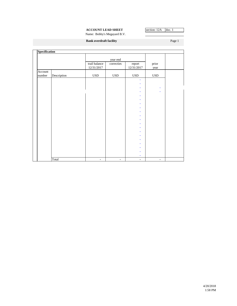## **ACCOUNT LEAD SHEET** section: 12A doc. 1

Name: Bobby's Megayard B.V.

**Bank overdraft facility** Page 1

| <b>Specification</b> |             |                             |                          |                      |                |  |
|----------------------|-------------|-----------------------------|--------------------------|----------------------|----------------|--|
|                      |             |                             | year end                 |                      |                |  |
|                      |             | trail balance<br>12/31/2017 | correcties               | report<br>12/31/2017 | prior<br>year  |  |
| Account              |             |                             |                          |                      |                |  |
| number               | Description | $_{\rm USD}$                | $_{\rm USD}$             | $_{\rm USD}$         | $_{\rm USD}$   |  |
|                      |             |                             |                          | ٠                    |                |  |
|                      |             |                             |                          | ۰                    |                |  |
|                      |             |                             |                          | ٠                    | ۰              |  |
|                      |             |                             |                          | ٠                    | ٠              |  |
|                      |             |                             |                          | ٠                    |                |  |
|                      |             |                             |                          | ۰<br>٠               |                |  |
|                      |             |                             |                          | ÷                    |                |  |
|                      |             |                             |                          | ۰                    |                |  |
|                      |             |                             |                          | ٠                    |                |  |
|                      |             |                             |                          | ۰                    |                |  |
|                      |             |                             |                          | ٠                    |                |  |
|                      |             |                             |                          | ٠                    |                |  |
|                      |             |                             |                          | ۰                    |                |  |
|                      |             |                             |                          | ٠                    |                |  |
|                      |             |                             |                          | ٠                    |                |  |
|                      |             |                             |                          | ۰                    |                |  |
|                      |             |                             |                          | ٠                    |                |  |
|                      |             |                             |                          | ÷                    |                |  |
|                      | Total       | $\blacksquare$              | $\overline{\phantom{a}}$ | ٠<br>$\blacksquare$  | $\blacksquare$ |  |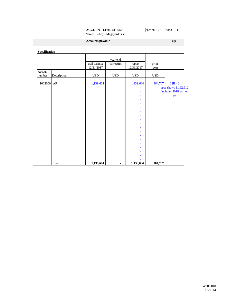## **ACCOUNT LEAD SHEET** section: 12B doc.: 1

Name: Bobby's Megayard B.V.

| <b>Accounts payable</b> | Page <sup>7</sup> |
|-------------------------|-------------------|
|                         |                   |
|                         |                   |

| орсенканон |             |               |                |              |            |                       |
|------------|-------------|---------------|----------------|--------------|------------|-----------------------|
|            |             |               | year end       |              |            |                       |
|            |             | trail balance | correcties     | report       | prior      |                       |
|            |             | 12/31/2017    |                | 12/31/2017   | year       |                       |
| Account    |             |               |                |              |            |                       |
| number     | Description | <b>USD</b>    | <b>USD</b>     | $_{\rm USD}$ | <b>USD</b> |                       |
|            |             |               |                |              |            |                       |
| 1002000 AP |             | 1,139,604     |                | 1,139,604    | 964,707    | $12B - 2$             |
|            |             |               |                |              |            | spec shows 1,192,912  |
|            |             |               |                |              |            | includes 2018 entries |
|            |             |               |                |              |            | ok                    |
|            |             |               |                |              |            |                       |
|            |             |               |                |              |            |                       |
|            |             |               |                |              |            |                       |
|            |             |               |                |              |            |                       |
|            |             |               |                |              |            |                       |
|            |             |               |                |              |            |                       |
|            |             |               |                |              |            |                       |
|            |             |               |                |              |            |                       |
|            |             |               |                |              |            |                       |
|            |             |               |                |              |            |                       |
|            |             |               |                |              |            |                       |
|            |             |               |                |              |            |                       |
|            |             |               |                |              |            |                       |
|            |             |               |                |              |            |                       |
|            |             |               |                |              |            |                       |
|            | Total       | 1,139,604     | $\blacksquare$ | 1,139,604    | 964,707    |                       |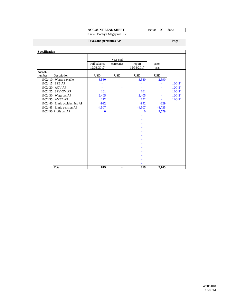## **ACCOUNT LEAD SHEET** section: 12C doc.: 1

Name: Bobby's Megayard B.V.

Page 1

|  |  | <b>Taxes and premiums AP</b> |  |
|--|--|------------------------------|--|
|--|--|------------------------------|--|

|         |                               |                             | year end   |                      |               |          |
|---------|-------------------------------|-----------------------------|------------|----------------------|---------------|----------|
|         |                               | trail balance<br>12/31/2017 | correcties | report<br>12/31/2017 | prior<br>year |          |
| Account |                               |                             |            |                      |               |          |
| number  | Description                   | <b>USD</b>                  | <b>USD</b> | <b>USD</b>           | <b>USD</b>    |          |
| 1002410 | Wages payable                 | 3,580                       |            | 3,580                | 2,590         |          |
| 1002415 | <b>SZB AP</b>                 |                             |            |                      |               | $12C-2$  |
| 1002420 | <b>AOV AP</b>                 |                             |            |                      |               | $12C-2'$ |
|         | 1002425 SZV-OV AP             | 161                         |            | 161                  |               | $12C-2'$ |
|         | 1002430 Wage tax AP           | 2,405                       |            | 2,405                |               | $12C-2'$ |
| 1002435 | <b>AVBZ AP</b>                | 172                         |            | 172                  |               | $12C-2'$ |
|         | 1002440 Ennia accident ins AP | $-992$                      |            | $-992$               | $-329$        |          |
|         | 1002445 Ennia pension AP      | $-4,507$                    |            | $-4,507$             | $-4,735$      |          |
|         | 1002490 Profit tax AP         | $\mathbf{0}$                |            | $\bf{0}$             | 9,579         |          |
|         |                               |                             |            |                      |               |          |
|         |                               |                             |            |                      |               |          |
|         |                               |                             |            |                      |               |          |
|         |                               |                             |            |                      |               |          |
|         |                               |                             |            |                      |               |          |
|         |                               |                             |            |                      |               |          |
|         |                               |                             |            |                      |               |          |
|         |                               |                             |            |                      |               |          |
|         |                               |                             |            |                      |               |          |
|         |                               |                             |            |                      |               |          |
|         |                               |                             |            |                      |               |          |
|         |                               |                             |            |                      |               |          |
|         | Total                         | 819                         |            | 819                  | 7,105         |          |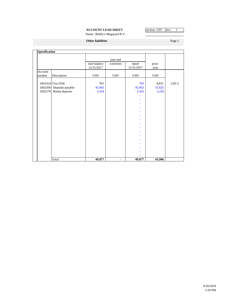## **ACCOUNT LEAD SHEET** section: 12D doc: 1

Name: Bobby's Megayard B.V.

**Other liabilities** Page 1

| <b>Specification</b> |                   |                             |                |                      |               |         |
|----------------------|-------------------|-----------------------------|----------------|----------------------|---------------|---------|
|                      |                   |                             | year end       |                      |               |         |
|                      |                   | trail balance<br>12/31/2017 | correcties     | report<br>12/31/2017 | prior<br>year |         |
| Account              |                   |                             |                |                      |               |         |
| number               | Description       | <b>USD</b>                  | <b>USD</b>     | <b>USD</b>           | <b>USD</b>    |         |
|                      | 1001024 Visa 0336 | 703                         |                | 703                  | 4,831         | $12D-2$ |
| 1002260              | Deposits payable  | 45,963                      |                | 45,963               | 35,825        |         |
| 1002270              | Rental deposits   | 2,410                       |                | 2,410                | 3,250         |         |
|                      |                   |                             |                |                      |               |         |
|                      |                   |                             |                |                      |               |         |
|                      |                   |                             |                |                      |               |         |
|                      |                   |                             |                |                      |               |         |
|                      |                   |                             |                |                      |               |         |
|                      |                   |                             |                |                      |               |         |
|                      |                   |                             |                |                      |               |         |
|                      |                   |                             |                |                      |               |         |
|                      |                   |                             |                |                      |               |         |
|                      |                   |                             |                |                      |               |         |
|                      |                   |                             |                |                      |               |         |
|                      |                   |                             |                |                      |               |         |
|                      |                   |                             |                |                      |               |         |
|                      |                   |                             |                |                      |               |         |
|                      |                   |                             |                |                      |               |         |
|                      |                   |                             |                |                      |               |         |
|                      |                   |                             |                |                      |               |         |
|                      | Total             | 49,077                      | $\blacksquare$ | 49,077               | 43,906        |         |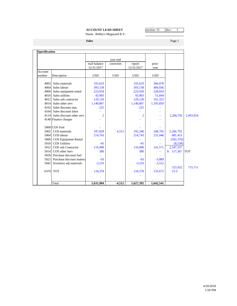## **ACCOUNT LEAD SHEET** section: 15 doc.: 1

Name: Bobby's Megayard B.V.

**Sales** Page 1

|                   |                             |                             | year end   |                      |               |                     |            |
|-------------------|-----------------------------|-----------------------------|------------|----------------------|---------------|---------------------|------------|
|                   |                             | trail balance<br>12/31/2017 | correcties | report<br>12/31/2017 | prior<br>year |                     |            |
| Account<br>number | Description                 | <b>USD</b>                  | <b>USD</b> | <b>USD</b>           | <b>USD</b>    |                     |            |
| 4002              | Sales materials             | 335,619                     |            | 335,619              | 366,078       |                     |            |
| 4004              | Sales labour                | 393,138                     |            | 393,138              | 489,936       |                     |            |
| 4006              | Sales equipment rental      | 223,918                     |            | 223,918              | 228,854       |                     |            |
| 4010              | Sales utilities             | 43,903                      |            | 43,903               | 51,844        |                     |            |
| 4012              | Sales sub contractor        | 129,120                     |            | 129,120              | 161,353       |                     |            |
| 4014              | Sales other serv            | 1,140,867                   |            | 1,140,867            | 1,195,859     |                     |            |
| 4102              | Sales discount mat.         | 225                         |            | 225                  |               |                     |            |
| 4104              | Sales discount labor        |                             |            |                      |               |                     |            |
| 4114              | Sales discount other serv   | $\overline{2}$              |            | $\overline{2}$       |               | 2,266,792           | 2,493,924  |
|                   | 4140 Finance charges        |                             |            |                      |               |                     |            |
|                   | 5000 COS Fuel               |                             |            |                      |               |                     |            |
| 5002              | COS materials               | 187,828                     | 4,512      | 192,340              | 348,795       | 2,266,792           |            |
| 5004              | COS labour                  | 214,743                     |            | 214,743              | 231,946       | 681,453             |            |
|                   | 5006 COS Equipment Rental   |                             |            |                      |               | (592, 370)          |            |
| 5010              | <b>COS Utilities</b>        | $-45$                       |            | $-45$                |               | (8,538)             |            |
| 5012              | COS sub Contractor          | 116,908                     |            | 116,908              | 141,571       | 2,347,337           |            |
| 5014              | COS other Serv              | 380                         |            | 380                  |               | 117,367<br>\$       | <b>TOT</b> |
|                   | 5020 Purchase discount fuel |                             |            |                      |               |                     |            |
| 5022              | Purchase discount materia   | $-93$                       |            | $-93$                | $-3,089$      |                     |            |
| 5042              | Inventory adj materials     | $-3,210$                    |            | $-3,210$             | $-3,512$      |                     |            |
| 6370              | <b>TOT</b>                  | 118,378                     |            | 118,378              | 135,672       | 521,022<br>$15 - 2$ | 715,711    |
|                   |                             |                             |            |                      |               |                     |            |
|                   | Total                       | 1,631,904                   | $-4.512$   | 1,627,392            | 1,642,541     |                     |            |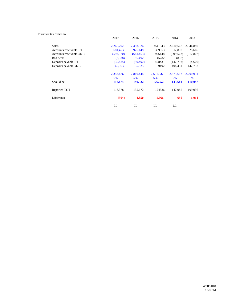#### Turnover tax overview

|                           | 2017       | 2016       | 2015      | 2014       | 2013      |
|---------------------------|------------|------------|-----------|------------|-----------|
|                           |            |            |           |            |           |
| <b>Sales</b>              | 2,266,792  | 2,493,924  | 3541843   | 2,610,568  | 2,044,880 |
| Accounts receivable 1/1   | 681,453    | 926,148    | 399563    | 312,807    | 325,666   |
| Accounts receivable 31/12 | (592, 370) | (681, 453) | -926148   | (399, 563) | (312,807) |
| <b>Bad debts</b>          | (8,538)    | 95,492     | $-45282$  | (838)      |           |
| Deposits payable 1/1      | (35, 825)  | (59, 492)  | -498431   | (147, 792) | (4,600)   |
| Deposits payable 31/12    | 45,963     | 35,825     | 59492     | 498,431    | 147,792   |
|                           |            |            |           |            |           |
|                           | 2,357,476  | 2,810,444  | 2,531,037 | 2,873,613  | 2,200,931 |
|                           | 5%         | 5%         | 5%        | 5%         | 5%        |
| Should be                 | 117,874    | 140,522    | 126,552   | 143,681    | 110,047   |
|                           |            |            |           |            |           |
| Reported TOT              | 118,378    | 135,672    | 124886    | 142,985    | 109,036   |
|                           |            |            |           |            |           |
| Difference                | (504)      | 4,850      | 1,666     | 696        | 1,011     |
|                           |            |            |           |            |           |
|                           | LL         | LL         | LL        | LL         |           |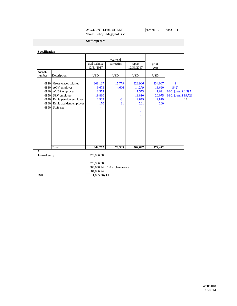## **ACCOUNT LEAD SHEET** section: 16 doc.: 1

Name: Bobby's Megayard B.V.

**Staff expenses**

|         |                         |               | year end   |            |            |                       |
|---------|-------------------------|---------------|------------|------------|------------|-----------------------|
|         |                         | trail balance | correcties | report     | prior      |                       |
|         |                         | 12/31/2017    |            | 12/31/2017 | year       |                       |
| Account |                         |               |            |            |            |                       |
| number  | Description             | <b>USD</b>    | <b>USD</b> | <b>USD</b> | <b>USD</b> |                       |
| 6820    | Gross wages salaries    | 308,127       | 15,779     | 323,906    | 334,007    | $*1$                  |
| 6830    | AOV employer            | 9,673         | 4,606      | 14,279     | 13,690     | $16 - 2'$             |
| 6840    | AVBZ employer           | 1,573         |            | 1,573      | 1,621      | 16-2' journ S 1,597   |
| 6850    | SZV employer            | 19,810        |            | 19,810     | 20,075     | 16-2' journ \$ 19,721 |
| 6870    | Ennia pension employer  | 2,909         | $-31$      | 2,879      | 2,879      | <b>LL</b>             |
| 6880    | Ennia accident employer | 170           | 31         | 201        | 200        |                       |
| 6890    | Staff exp               |               |            |            |            |                       |
|         |                         |               |            |            |            |                       |
|         |                         |               |            |            |            |                       |
|         |                         |               |            |            |            |                       |
|         |                         |               |            |            |            |                       |
|         |                         |               |            |            |            |                       |
|         |                         |               |            |            |            |                       |
|         |                         |               |            |            |            |                       |
|         |                         |               |            |            |            |                       |
|         | Total                   | 342,262       | 20,385     | 362,647    | 372,472    |                       |

 323,906.08 583,030.94 1.8 exchange rate 584,036.24 Diff.  $(1,005.30)$  LL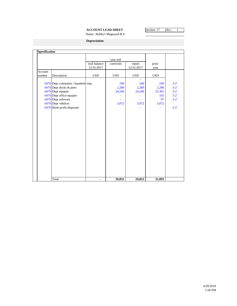## **ACCOUNT LEAD SHEET** section: 17 doc.: 1

Name: Bobby's Megayard B.V.

**Depreciation**

| Specification |                                      |               |            |            |            |          |
|---------------|--------------------------------------|---------------|------------|------------|------------|----------|
|               |                                      |               |            |            |            |          |
|               |                                      |               | year end   |            |            |          |
|               |                                      | trail balance | correcties | report     | prior      |          |
|               |                                      | 12/31/2017    |            | 12/31/2017 | year       |          |
| Account       |                                      |               |            |            |            |          |
| number        | Description                          | <b>USD</b>    | <b>USD</b> | <b>USD</b> | <b>USD</b> |          |
|               |                                      |               |            |            |            |          |
|               | 6470 Depr containers / leasehold imp |               | 240        | 240        | 240        | $3 - 2'$ |
|               | 6470 Depr docks & piers              |               | 2,280      | 2,280      | 2,280      | $3 - 2'$ |
|               | 6470 Depr equipm                     |               | 24,240     | 24,240     | 25,301     | $3 - 2'$ |
|               | 6470 Depr office equipm              |               |            |            | 103        | $3 - 2'$ |
|               | 6470 Depr software                   |               |            |            | 97         | $3 - 2'$ |
|               | 6470 Depr vehilces                   |               | 3,072      | 3,072      | 3,072      |          |
|               | 6470 Book profit disposals           |               |            |            |            | $3 - 2'$ |
|               |                                      |               |            |            |            |          |
|               |                                      |               |            |            |            |          |
|               |                                      |               |            |            |            |          |
|               |                                      |               |            |            |            |          |
|               |                                      |               |            |            |            |          |
|               |                                      |               |            |            |            |          |
|               |                                      |               |            |            |            |          |
|               |                                      |               |            |            |            |          |
|               |                                      |               |            |            |            |          |
|               |                                      |               |            |            |            |          |
|               |                                      |               |            |            |            |          |
|               |                                      |               |            |            |            |          |
|               |                                      |               |            |            |            |          |
|               |                                      |               |            |            |            |          |
|               |                                      |               |            |            |            |          |
|               |                                      |               |            |            |            |          |
|               |                                      |               |            |            |            |          |
|               | Total                                | -             | 29,832     | 29,832     | 31,093     |          |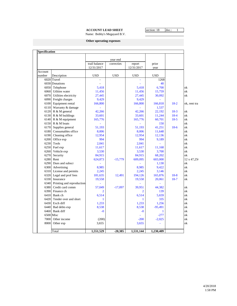## **ACCOUNT LEAD SHEET** section: 18 doc.: 1

Name: Bobby's Megayard B.V.

**Other operating expenses**

|         |                           |                          | year end   |                |              |        |                        |
|---------|---------------------------|--------------------------|------------|----------------|--------------|--------|------------------------|
|         |                           | trail balance            | correcties | report         | prior        |        |                        |
|         |                           | 12/31/2017               |            | 12/31/2017     | year         |        |                        |
| Account |                           |                          |            |                |              |        |                        |
| number  | Description               | <b>USD</b>               | <b>USD</b> | <b>USD</b>     | <b>USD</b>   |        |                        |
|         | 6020 Travel               | $\overline{\phantom{a}}$ |            | ä,             | 1268         |        |                        |
|         | 6030 Donations            |                          |            |                | 40           |        |                        |
| 6050    | Telephone                 | 5,418                    |            | 5,418          | 6,700        |        | ok                     |
| 6060    | Utlities water            | 11,456                   |            | 11,456         | 15,759       |        | ok                     |
| 6070    | Utilities electricity     | 27,445                   |            | 27,445         | 30,092       |        | $\overline{\text{ok}}$ |
| 6090    | Freight charges           | 9,429                    |            | 9,429          |              |        |                        |
| 6100    | Equipment rental          | 166,800                  |            | 166,800        | 166,818      | $18-2$ | ok, rent tra           |
| 6110    | Warranty & damage         |                          |            |                | 1,537        |        |                        |
| 6120    | R & M general             | 42,266                   |            | 42,266         | 22,192       | $18-3$ | ok                     |
| 6130    | R & M buildings           | 33,601                   |            | 33,601         | 11,244       | $18-4$ | ok                     |
| 6140    | R & M equipment           | 165,776                  |            | 165,776        | 60,701       | $18-5$ | ok                     |
| 6150    | R & M boats               |                          |            | L,             | 150          |        | ok                     |
| 6170    | Supplies general          | 51,193                   |            | 51,193         | 41,251       | $18-6$ | ok                     |
| 6180    | Consumables office        | 8,006                    |            | 8,006          | 11,648       |        | ok                     |
| 6190    | Cleaning office           | 12,954                   |            | 12,954         | 12,136       |        | ok                     |
| 6200    | Office exp                | 994                      |            | 994            | 9,189        |        | ok                     |
| 6230    | Tools                     | 2,041                    |            | 2,041          |              |        | ok                     |
| 6250    | Fuel exp                  | 11,617                   |            | 11,617         | 11,168       |        | ok                     |
| 6260    | Vehicle exp               | 3,530                    |            | 3,530          | 3,700        |        | ok                     |
| 6270    | Security                  | 84,915                   |            | 84,915         | 68,202       |        | ok                     |
| 6280    | Rent                      | 624,873                  | $-15,779$  | 609,095        | 603,000      |        | 12 x 47,250            |
| 6290    | Dues and subscr           |                          |            |                | 1,130        |        | ok                     |
| 6300    | Advertising               | 8.985                    |            | 8,985          | 9,422        |        | ok                     |
| 6310    | License and permits       | 2,245                    |            | 2,245          | 3,146        |        | ok                     |
| 6320    | Legal and prof fees       | 181,635                  | 12,491     | 194,126        | 165,876      | $18-8$ | ok                     |
| 6330    | Insurance                 | 19,558                   |            | 19,558         | 20,061       | $18-7$ | ok                     |
| 6340    | Printing and reproduction |                          |            |                |              |        |                        |
| 6380    | Credit card comm          | 57,049                   | $-17,097$  | 39,951         | 44,382       |        | ok                     |
| 6390    | Finance ch                | $\overline{2}$           |            | $\overline{2}$ | 139          |        | ok                     |
| 6410    | Bank ch                   | 6,514                    |            | 6,514          | 5,659        |        | ok                     |
| 6420    | Tender over and short     | 1                        |            | 1              | 335          |        | ok                     |
| 6430    | Exch diff                 | 1,233                    |            | 1,233          | 1,256        |        | ok                     |
| 6440    | Bad debts exp             | 8,538                    |            | 8,538          | $-95,491$    |        | ok                     |
| 6460    | Bank diff                 | $-0$                     |            | $-0$           | $\mathbf{1}$ |        | ok                     |
|         | 6500 Misc                 |                          |            | ä,             | $-277$       |        | ok                     |
| 7000    | Other income              | (200)                    |            | $-200$         | $-2,025$     |        | ok                     |
| 8000    | Other exp                 | 3,655                    |            | 3,655          |              |        | ok                     |
|         |                           |                          |            |                |              |        |                        |
|         | Total                     | 1,551,529                | $-20,385$  | 1,531,144      | 1,230,409    |        |                        |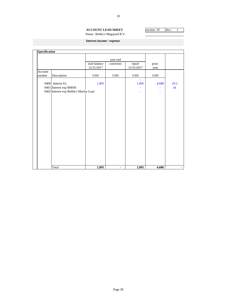#### **ACCOUNT LEAD SHEET** section: 19 doc.: 1 Name: Bobby's Megayard B.V.

**Interest income / expense**

| Specification |                                       |                             |                |                      |              |               |
|---------------|---------------------------------------|-----------------------------|----------------|----------------------|--------------|---------------|
|               |                                       |                             | year end       |                      |              |               |
|               |                                       | trail balance<br>12/31/2017 | correcties     | report<br>12/31/2017 | prior        |               |
| Account       |                                       |                             |                |                      | year         |               |
| number        | Description                           | $_{\rm USD}$                | <b>USD</b>     | <b>USD</b>           | $_{\rm USD}$ |               |
|               |                                       |                             |                |                      |              |               |
|               | 6400 Interest Ex                      | 1,895                       |                | 1,895                | 4,688        | $19-2$        |
|               | 6401 Interest exp BMSH                |                             |                |                      |              | $\mathbf{ok}$ |
|               | 6402 Interest exp Bobby's Marina Loan |                             |                |                      |              |               |
|               |                                       |                             |                |                      |              |               |
|               |                                       |                             |                |                      |              |               |
|               |                                       |                             |                |                      |              |               |
|               |                                       |                             |                |                      |              |               |
|               |                                       |                             |                |                      |              |               |
|               |                                       |                             |                |                      |              |               |
|               |                                       |                             |                |                      |              |               |
|               |                                       |                             |                |                      |              |               |
|               |                                       |                             |                |                      |              |               |
|               |                                       |                             |                |                      |              |               |
|               |                                       |                             |                |                      |              |               |
|               |                                       |                             |                |                      |              |               |
|               |                                       |                             |                |                      |              |               |
|               |                                       |                             |                |                      |              |               |
|               |                                       |                             |                |                      |              |               |
|               |                                       |                             |                |                      |              |               |
|               |                                       |                             |                |                      |              |               |
|               | Total                                 | 1,895                       | $\blacksquare$ | 1,895                | 4,688        |               |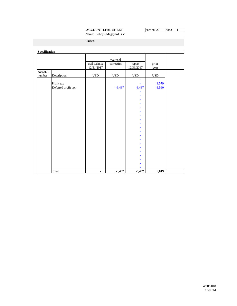## **ACCOUNT LEAD SHEET** section: 20 doc.: 1

Name: Bobby's Megayard B.V.

**Taxes**

| Specification     |                     |                             |              |                          |               |  |
|-------------------|---------------------|-----------------------------|--------------|--------------------------|---------------|--|
|                   |                     |                             | year end     |                          |               |  |
|                   |                     | trail balance<br>12/31/2017 | correcties   | report<br>$12/31/2017\,$ | prior<br>year |  |
| Account<br>number | Description         | <b>USD</b>                  | $_{\rm USD}$ | $_{\rm USD}$             | $_{\rm USD}$  |  |
|                   |                     |                             |              | ä,                       |               |  |
|                   | Profit tax          |                             |              |                          | 9,579         |  |
|                   | Deferred profit tax |                             | $-3,437$     | $-3,437$                 | $-3,560$      |  |
|                   |                     |                             |              |                          |               |  |
|                   |                     |                             |              |                          |               |  |
|                   |                     |                             |              | ä,                       |               |  |
|                   |                     |                             |              | ÷,                       |               |  |
|                   |                     |                             |              | ä,                       |               |  |
|                   |                     |                             |              | ÷                        |               |  |
|                   |                     |                             |              | ÷                        |               |  |
|                   |                     |                             |              | ÷                        |               |  |
|                   |                     |                             |              | ÷                        |               |  |
|                   |                     |                             |              |                          |               |  |
|                   |                     |                             |              | ÷                        |               |  |
|                   |                     |                             |              | ä,                       |               |  |
|                   |                     |                             |              | ÷                        |               |  |
|                   |                     |                             |              | ä,                       |               |  |
|                   |                     |                             |              |                          |               |  |
|                   |                     |                             |              | ÷                        |               |  |
|                   |                     |                             |              | ÷                        |               |  |
|                   |                     |                             |              | ÷                        |               |  |
|                   |                     |                             |              |                          |               |  |
|                   |                     |                             |              |                          |               |  |
|                   | Total               | $\overline{\phantom{0}}$    | $-3,437$     | $-3,437$                 | 6,019         |  |